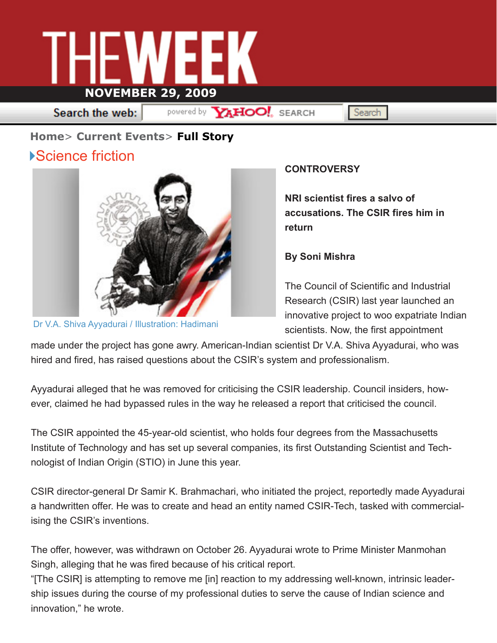

Search the web:

powered by **YAHOO!** SEARCH

Search

## **Home**> **Current Events**> **Full Story**

## ▶Science friction



Dr V.A. Shiva Ayyadurai / Illustration: Hadimani

## **CONTROVERSY**

**NRI scientist fires a salvo of accusations. The CSIR fires him in return**

**By Soni Mishra**

The Council of Scientific and Industrial Research (CSIR) last year launched an innovative project to woo expatriate Indian scientists. Now, the first appointment

made under the project has gone awry. American-Indian scientist Dr V.A. Shiva Ayyadurai, who was hired and fired, has raised questions about the CSIR's system and professionalism.

Ayyadurai alleged that he was removed for criticising the CSIR leadership. Council insiders, however, claimed he had bypassed rules in the way he released a report that criticised the council.

The CSIR appointed the 45-year-old scientist, who holds four degrees from the Massachusetts Institute of Technology and has set up several companies, its first Outstanding Scientist and Technologist of Indian Origin (STIO) in June this year.

CSIR director-general Dr Samir K. Brahmachari, who initiated the project, reportedly made Ayyadurai a handwritten offer. He was to create and head an entity named CSIR-Tech, tasked with commercialising the CSIR's inventions.

The offer, however, was withdrawn on October 26. Ayyadurai wrote to Prime Minister Manmohan Singh, alleging that he was fired because of his critical report.

"[The CSIR] is attempting to remove me [in] reaction to my addressing well-known, intrinsic leadership issues during the course of my professional duties to serve the cause of Indian science and innovation," he wrote.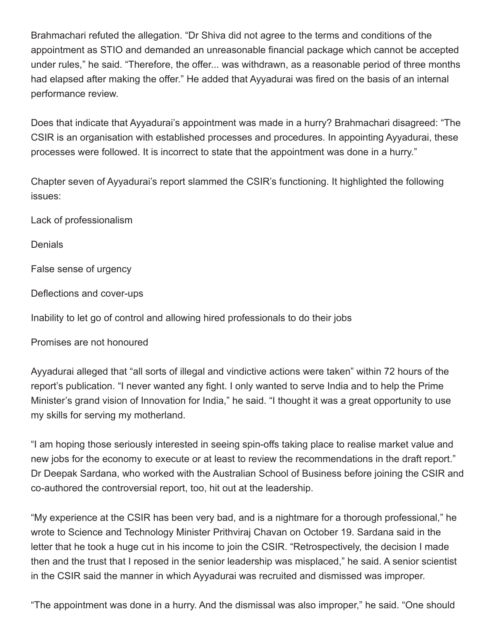Brahmachari refuted the allegation. "Dr Shiva did not agree to the terms and conditions of the appointment as STIO and demanded an unreasonable financial package which cannot be accepted under rules," he said. "Therefore, the offer... was withdrawn, as a reasonable period of three months had elapsed after making the offer." He added that Ayyadurai was fired on the basis of an internal performance review.

Does that indicate that Ayyadurai's appointment was made in a hurry? Brahmachari disagreed: "The CSIR is an organisation with established processes and procedures. In appointing Ayyadurai, these processes were followed. It is incorrect to state that the appointment was done in a hurry."

Chapter seven of Ayyadurai's report slammed the CSIR's functioning. It highlighted the following issues:

Lack of professionalism

**Denials** 

False sense of urgency

Deflections and cover-ups

Inability to let go of control and allowing hired professionals to do their jobs

Promises are not honoured

Ayyadurai alleged that "all sorts of illegal and vindictive actions were taken" within 72 hours of the report's publication. "I never wanted any fight. I only wanted to serve India and to help the Prime Minister's grand vision of Innovation for India," he said. "I thought it was a great opportunity to use my skills for serving my motherland.

"I am hoping those seriously interested in seeing spin-offs taking place to realise market value and new jobs for the economy to execute or at least to review the recommendations in the draft report." Dr Deepak Sardana, who worked with the Australian School of Business before joining the CSIR and co-authored the controversial report, too, hit out at the leadership.

"My experience at the CSIR has been very bad, and is a nightmare for a thorough professional," he wrote to Science and Technology Minister Prithviraj Chavan on October 19. Sardana said in the letter that he took a huge cut in his income to join the CSIR. "Retrospectively, the decision I made then and the trust that I reposed in the senior leadership was misplaced," he said. A senior scientist in the CSIR said the manner in which Ayyadurai was recruited and dismissed was improper.

"The appointment was done in a hurry. And the dismissal was also improper," he said. "One should